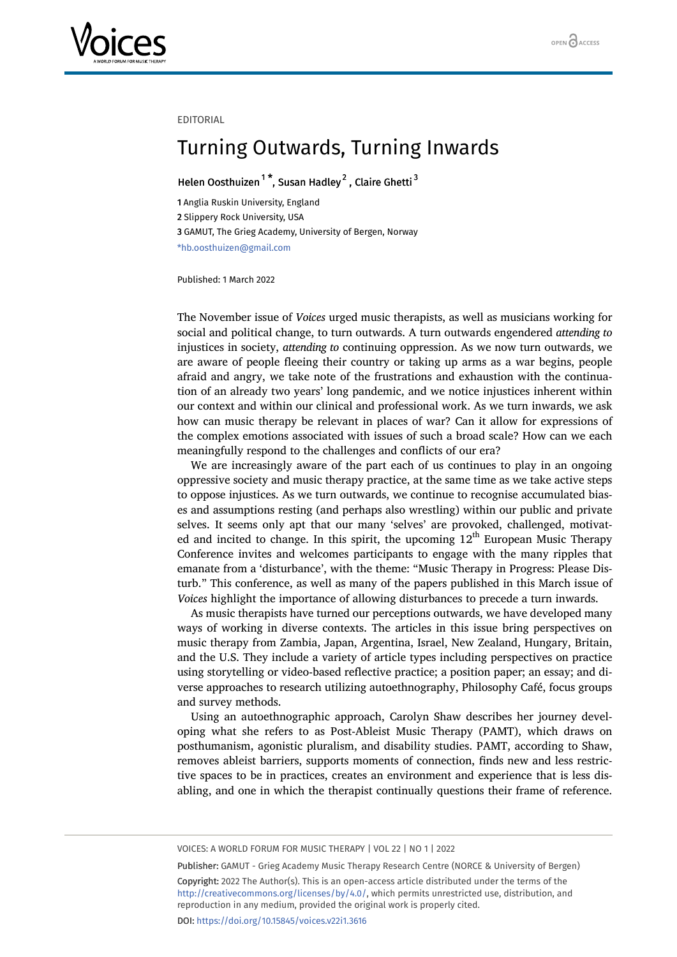

## EDITORIAL

## Turning Outwards, Turning Inwards

## Helen Oosthuizen<sup>[1](#page-0-0)\*</sup>, Susan Hadley<sup>[2](#page-0-1)</sup>, Claire Ghetti<sup>[3](#page-0-2)</sup>

<span id="page-0-2"></span><span id="page-0-1"></span><span id="page-0-0"></span> Anglia Ruskin University, England Slippery Rock University, USA GAMUT, The Grieg Academy, University of Bergen, Norway \*hb.oosthuizen@gmail.com

Published: 1 March 2022

The November issue of *Voices* urged music therapists, as well as musicians working for social and political change, to turn outwards. A turn outwards engendered *attending to* injustices in society, *attending to* continuing oppression. As we now turn outwards, we are aware of people fleeing their country or taking up arms as a war begins, people afraid and angry, we take note of the frustrations and exhaustion with the continuation of an already two years' long pandemic, and we notice injustices inherent within our context and within our clinical and professional work. As we turn inwards, we ask how can music therapy be relevant in places of war? Can it allow for expressions of the complex emotions associated with issues of such a broad scale? How can we each meaningfully respond to the challenges and conflicts of our era?

We are increasingly aware of the part each of us continues to play in an ongoing oppressive society and music therapy practice, at the same time as we take active steps to oppose injustices. As we turn outwards, we continue to recognise accumulated biases and assumptions resting (and perhaps also wrestling) within our public and private selves. It seems only apt that our many 'selves' are provoked, challenged, motivated and incited to change. In this spirit, the upcoming  $12<sup>th</sup>$  European Music Therapy Conference invites and welcomes participants to engage with the many ripples that emanate from a 'disturbance', with the theme: "Music Therapy in Progress: Please Disturb." This conference, as well as many of the papers published in this March issue of *Voices* highlight the importance of allowing disturbances to precede a turn inwards.

As music therapists have turned our perceptions outwards, we have developed many ways of working in diverse contexts. The articles in this issue bring perspectives on music therapy from Zambia, Japan, Argentina, Israel, New Zealand, Hungary, Britain, and the U.S. They include a variety of article types including perspectives on practice using storytelling or video-based reflective practice; a position paper; an essay; and diverse approaches to research utilizing autoethnography, Philosophy Café, focus groups and survey methods.

Using an autoethnographic approach, Carolyn Shaw describes her journey developing what she refers to as Post-Ableist Music Therapy (PAMT), which draws on posthumanism, agonistic pluralism, and disability studies. PAMT, according to Shaw, removes ableist barriers, supports moments of connection, finds new and less restrictive spaces to be in practices, creates an environment and experience that is less disabling, and one in which the therapist continually questions their frame of reference.

VOICES: A WORLD FORUM FOR MUSIC THERAPY | VOL 22 | NO 1 | 2022

Publisher: GAMUT - Grieg Academy Music Therapy Research Centre (NORCE & University of Bergen) Copyright: 2022 The Author(s). This is an open-access article distributed under the terms of the <http://creativecommons.org/licenses/by/4.0/>, which permits unrestricted use, distribution, and reproduction in any medium, provided the original work is properly cited. DOI: <https://doi.org/10.15845/voices.v22i1.3616>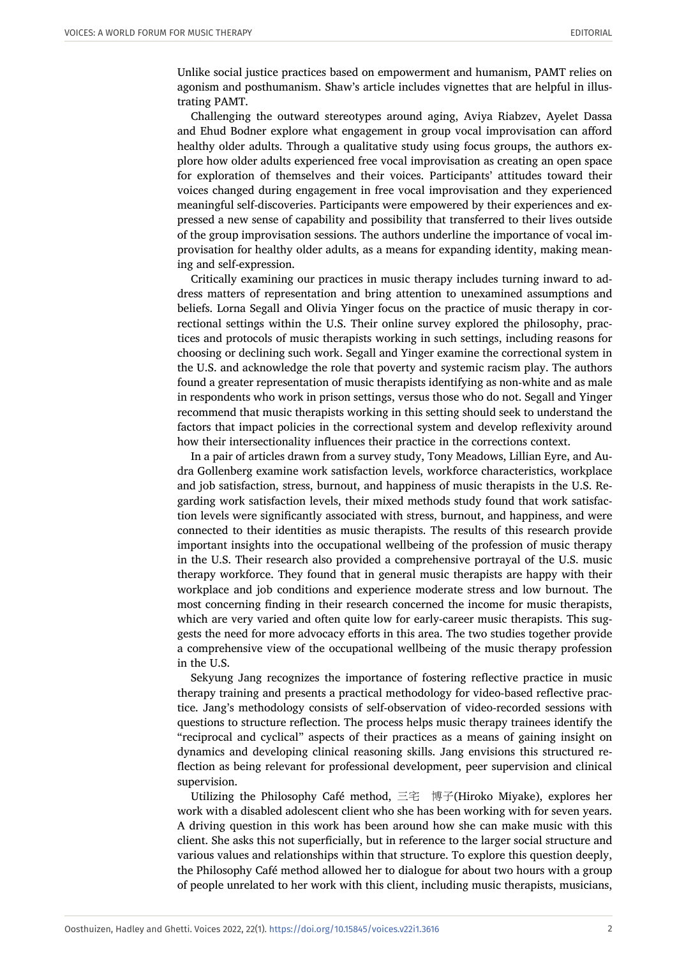Unlike social justice practices based on empowerment and humanism, PAMT relies on agonism and posthumanism. Shaw's article includes vignettes that are helpful in illustrating PAMT.

Challenging the outward stereotypes around aging, Aviya Riabzev, Ayelet Dassa and Ehud Bodner explore what engagement in group vocal improvisation can afford healthy older adults. Through a qualitative study using focus groups, the authors explore how older adults experienced free vocal improvisation as creating an open space for exploration of themselves and their voices. Participants' attitudes toward their voices changed during engagement in free vocal improvisation and they experienced meaningful self-discoveries. Participants were empowered by their experiences and expressed a new sense of capability and possibility that transferred to their lives outside of the group improvisation sessions. The authors underline the importance of vocal improvisation for healthy older adults, as a means for expanding identity, making meaning and self-expression.

Critically examining our practices in music therapy includes turning inward to address matters of representation and bring attention to unexamined assumptions and beliefs. Lorna Segall and Olivia Yinger focus on the practice of music therapy in correctional settings within the U.S. Their online survey explored the philosophy, practices and protocols of music therapists working in such settings, including reasons for choosing or declining such work. Segall and Yinger examine the correctional system in the U.S. and acknowledge the role that poverty and systemic racism play. The authors found a greater representation of music therapists identifying as non-white and as male in respondents who work in prison settings, versus those who do not. Segall and Yinger recommend that music therapists working in this setting should seek to understand the factors that impact policies in the correctional system and develop reflexivity around how their intersectionality influences their practice in the corrections context.

In a pair of articles drawn from a survey study, Tony Meadows, Lillian Eyre, and Audra Gollenberg examine work satisfaction levels, workforce characteristics, workplace and job satisfaction, stress, burnout, and happiness of music therapists in the U.S. Regarding work satisfaction levels, their mixed methods study found that work satisfaction levels were significantly associated with stress, burnout, and happiness, and were connected to their identities as music therapists. The results of this research provide important insights into the occupational wellbeing of the profession of music therapy in the U.S. Their research also provided a comprehensive portrayal of the U.S. music therapy workforce. They found that in general music therapists are happy with their workplace and job conditions and experience moderate stress and low burnout. The most concerning finding in their research concerned the income for music therapists, which are very varied and often quite low for early-career music therapists. This suggests the need for more advocacy efforts in this area. The two studies together provide a comprehensive view of the occupational wellbeing of the music therapy profession in the U.S.

Sekyung Jang recognizes the importance of fostering reflective practice in music therapy training and presents a practical methodology for video-based reflective practice. Jang's methodology consists of self-observation of video-recorded sessions with questions to structure reflection. The process helps music therapy trainees identify the "reciprocal and cyclical" aspects of their practices as a means of gaining insight on dynamics and developing clinical reasoning skills. Jang envisions this structured reflection as being relevant for professional development, peer supervision and clinical supervision.

Utilizing the Philosophy Café method, 三宅 博子(Hiroko Miyake), explores her work with a disabled adolescent client who she has been working with for seven years. A driving question in this work has been around how she can make music with this client. She asks this not superficially, but in reference to the larger social structure and various values and relationships within that structure. To explore this question deeply, the Philosophy Café method allowed her to dialogue for about two hours with a group of people unrelated to her work with this client, including music therapists, musicians,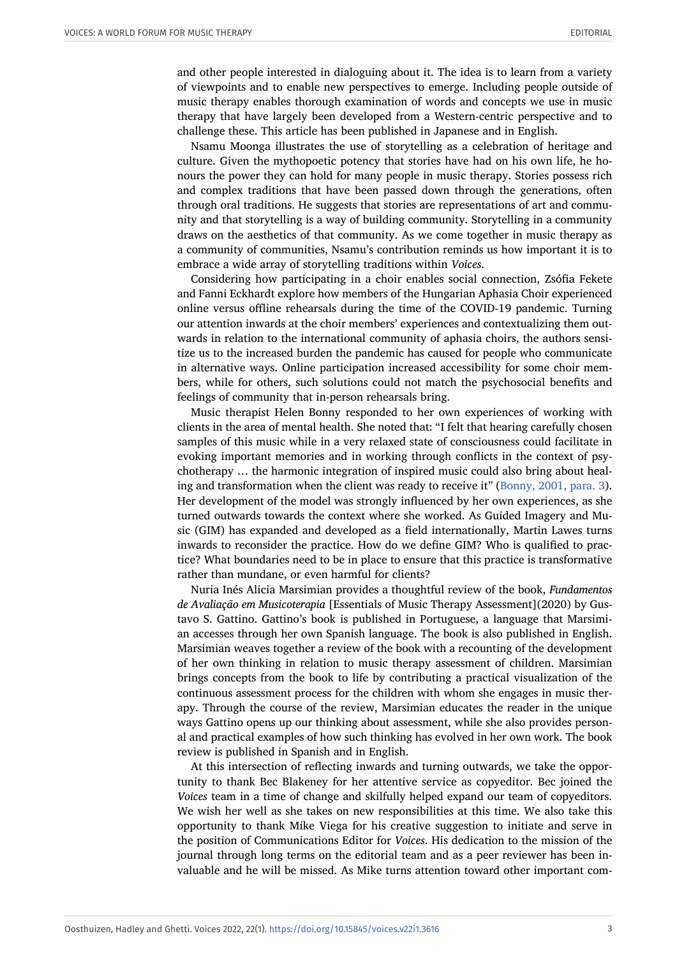and other people interested in dialoguing about it. The idea is to learn from a variety of viewpoints and to enable new perspectives to emerge. Including people outside of music therapy enables thorough examination of words and concepts we use in music therapy that have largely been developed from a Western-centric perspective and to challenge these. This article has been published in Japanese and in English.

Nsamu Moonga illustrates the use of storytelling as a celebration of heritage and culture. Given the mythopoetic potency that stories have had on his own life, he honours the power they can hold for many people in music therapy. Stories possess rich and complex traditions that have been passed down through the generations, often through oral traditions. He suggests that stories are representations of art and community and that storytelling is a way of building community. Storytelling in a community draws on the aesthetics of that community. As we come together in music therapy as a community of communities, Nsamu's contribution reminds us how important it is to embrace a wide array of storytelling traditions within *Voices*.

Considering how participating in a choir enables social connection, Zsófia Fekete and Fanni Eckhardt explore how members of the Hungarian Aphasia Choir experienced online versus offline rehearsals during the time of the COVID-19 pandemic. Turning our attention inwards at the choir members' experiences and contextualizing them outwards in relation to the international community of aphasia choirs, the authors sensitize us to the increased burden the pandemic has caused for people who communicate in alternative ways. Online participation increased accessibility for some choir members, while for others, such solutions could not match the psychosocial benefits and feelings of community that in-person rehearsals bring.

Music therapist Helen Bonny responded to her own experiences of working with clients in the area of mental health. She noted that: "I felt that hearing carefully chosen samples of this music while in a very relaxed state of consciousness could facilitate in evoking important memories and in working through conflicts in the context of psychotherapy … the harmonic integration of inspired music could also bring about healing and transformation when the client was ready to receive it" ([Bonny, 2001, para. 3](#page-3-0)). Her development of the model was strongly influenced by her own experiences, as she turned outwards towards the context where she worked. As Guided Imagery and Music (GIM) has expanded and developed as a field internationally, Martin Lawes turns inwards to reconsider the practice. How do we define GIM? Who is qualified to practice? What boundaries need to be in place to ensure that this practice is transformative rather than mundane, or even harmful for clients?

Nuria Inés Alicia Marsimian provides a thoughtful review of the book, *Fundamentos de Avaliação em Musicoterapia* [Essentials of Music Therapy Assessment](2020) by Gustavo S. Gattino. Gattino's book is published in Portuguese, a language that Marsimian accesses through her own Spanish language. The book is also published in English. Marsimian weaves together a review of the book with a recounting of the development of her own thinking in relation to music therapy assessment of children. Marsimian brings concepts from the book to life by contributing a practical visualization of the continuous assessment process for the children with whom she engages in music therapy. Through the course of the review, Marsimian educates the reader in the unique ways Gattino opens up our thinking about assessment, while she also provides personal and practical examples of how such thinking has evolved in her own work. The book review is published in Spanish and in English.

At this intersection of reflecting inwards and turning outwards, we take the opportunity to thank Bec Blakeney for her attentive service as copyeditor. Bec joined the *Voices* team in a time of change and skilfully helped expand our team of copyeditors. We wish her well as she takes on new responsibilities at this time. We also take this opportunity to thank Mike Viega for his creative suggestion to initiate and serve in the position of Communications Editor for *Voices*. His dedication to the mission of the journal through long terms on the editorial team and as a peer reviewer has been invaluable and he will be missed. As Mike turns attention toward other important com